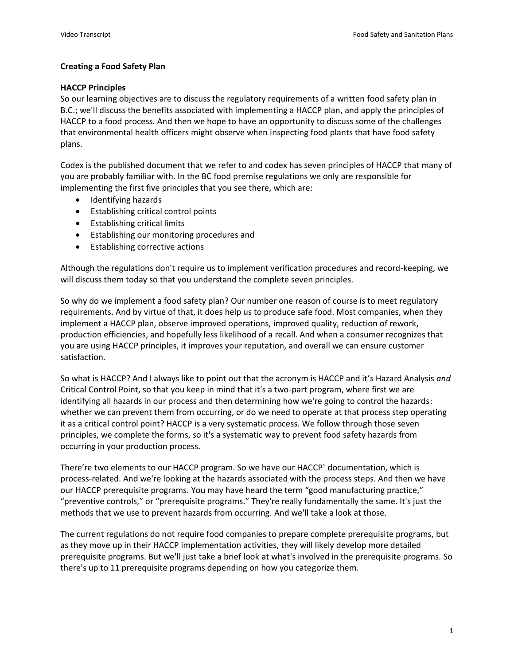# **Creating a Food Safety Plan**

# **HACCP Principles**

So our learning objectives are to discuss the regulatory requirements of a written food safety plan in B.C.; we'll discuss the benefits associated with implementing a HACCP plan, and apply the principles of HACCP to a food process. And then we hope to have an opportunity to discuss some of the challenges that environmental health officers might observe when inspecting food plants that have food safety plans.

Codex is the published document that we refer to and codex has seven principles of HACCP that many of you are probably familiar with. In the BC food premise regulations we only are responsible for implementing the first five principles that you see there, which are:

- Identifying hazards
- Establishing critical control points
- Establishing critical limits
- Establishing our monitoring procedures and
- Establishing corrective actions

Although the regulations don't require us to implement verification procedures and record-keeping, we will discuss them today so that you understand the complete seven principles.

So why do we implement a food safety plan? Our number one reason of course is to meet regulatory requirements. And by virtue of that, it does help us to produce safe food. Most companies, when they implement a HACCP plan, observe improved operations, improved quality, reduction of rework, production efficiencies, and hopefully less likelihood of a recall. And when a consumer recognizes that you are using HACCP principles, it improves your reputation, and overall we can ensure customer satisfaction.

So what is HACCP? And I always like to point out that the acronym is HACCP and it's Hazard Analysis *and* Critical Control Point, so that you keep in mind that it's a two-part program, where first we are identifying all hazards in our process and then determining how we're going to control the hazards: whether we can prevent them from occurring, or do we need to operate at that process step operating it as a critical control point? HACCP is a very systematic process. We follow through those seven principles, we complete the forms, so it's a systematic way to prevent food safety hazards from occurring in your production process.

There're two elements to our HACCP program. So we have our HACCP` documentation, which is process-related. And we're looking at the hazards associated with the process steps. And then we have our HACCP prerequisite programs. You may have heard the term "good manufacturing practice," "preventive controls," or "prerequisite programs." They're really fundamentally the same. It's just the methods that we use to prevent hazards from occurring. And we'll take a look at those.

The current regulations do not require food companies to prepare complete prerequisite programs, but as they move up in their HACCP implementation activities, they will likely develop more detailed prerequisite programs. But we'll just take a brief look at what's involved in the prerequisite programs. So there's up to 11 prerequisite programs depending on how you categorize them.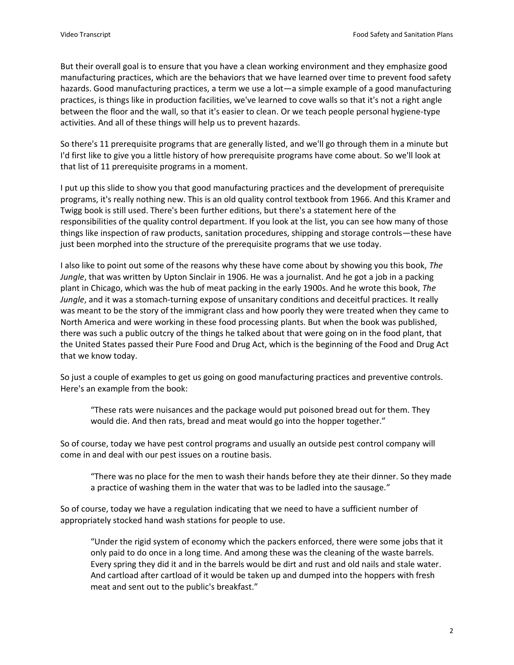But their overall goal is to ensure that you have a clean working environment and they emphasize good manufacturing practices, which are the behaviors that we have learned over time to prevent food safety hazards. Good manufacturing practices, a term we use a lot—a simple example of a good manufacturing practices, is things like in production facilities, we've learned to cove walls so that it's not a right angle between the floor and the wall, so that it's easier to clean. Or we teach people personal hygiene-type activities. And all of these things will help us to prevent hazards.

So there's 11 prerequisite programs that are generally listed, and we'll go through them in a minute but I'd first like to give you a little history of how prerequisite programs have come about. So we'll look at that list of 11 prerequisite programs in a moment.

I put up this slide to show you that good manufacturing practices and the development of prerequisite programs, it's really nothing new. This is an old quality control textbook from 1966. And this Kramer and Twigg book is still used. There's been further editions, but there's a statement here of the responsibilities of the quality control department. If you look at the list, you can see how many of those things like inspection of raw products, sanitation procedures, shipping and storage controls—these have just been morphed into the structure of the prerequisite programs that we use today.

I also like to point out some of the reasons why these have come about by showing you this book, *The Jungle*, that was written by Upton Sinclair in 1906. He was a journalist. And he got a job in a packing plant in Chicago, which was the hub of meat packing in the early 1900s. And he wrote this book, *The Jungle*, and it was a stomach-turning expose of unsanitary conditions and deceitful practices. It really was meant to be the story of the immigrant class and how poorly they were treated when they came to North America and were working in these food processing plants. But when the book was published, there was such a public outcry of the things he talked about that were going on in the food plant, that the United States passed their Pure Food and Drug Act, which is the beginning of the Food and Drug Act that we know today.

So just a couple of examples to get us going on good manufacturing practices and preventive controls. Here's an example from the book:

"These rats were nuisances and the package would put poisoned bread out for them. They would die. And then rats, bread and meat would go into the hopper together."

So of course, today we have pest control programs and usually an outside pest control company will come in and deal with our pest issues on a routine basis.

"There was no place for the men to wash their hands before they ate their dinner. So they made a practice of washing them in the water that was to be ladled into the sausage."

So of course, today we have a regulation indicating that we need to have a sufficient number of appropriately stocked hand wash stations for people to use.

"Under the rigid system of economy which the packers enforced, there were some jobs that it only paid to do once in a long time. And among these was the cleaning of the waste barrels. Every spring they did it and in the barrels would be dirt and rust and old nails and stale water. And cartload after cartload of it would be taken up and dumped into the hoppers with fresh meat and sent out to the public's breakfast."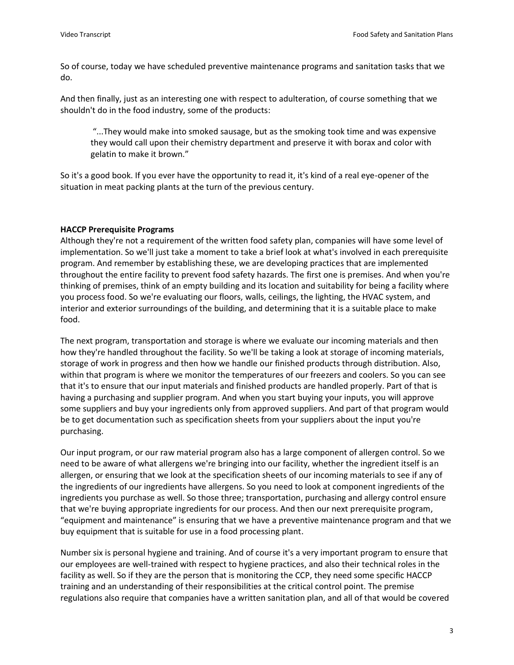So of course, today we have scheduled preventive maintenance programs and sanitation tasks that we do.

And then finally, just as an interesting one with respect to adulteration, of course something that we shouldn't do in the food industry, some of the products:

"...They would make into smoked sausage, but as the smoking took time and was expensive they would call upon their chemistry department and preserve it with borax and color with gelatin to make it brown."

So it's a good book. If you ever have the opportunity to read it, it's kind of a real eye-opener of the situation in meat packing plants at the turn of the previous century.

# **HACCP Prerequisite Programs**

Although they're not a requirement of the written food safety plan, companies will have some level of implementation. So we'll just take a moment to take a brief look at what's involved in each prerequisite program. And remember by establishing these, we are developing practices that are implemented throughout the entire facility to prevent food safety hazards. The first one is premises. And when you're thinking of premises, think of an empty building and its location and suitability for being a facility where you process food. So we're evaluating our floors, walls, ceilings, the lighting, the HVAC system, and interior and exterior surroundings of the building, and determining that it is a suitable place to make food.

The next program, transportation and storage is where we evaluate our incoming materials and then how they're handled throughout the facility. So we'll be taking a look at storage of incoming materials, storage of work in progress and then how we handle our finished products through distribution. Also, within that program is where we monitor the temperatures of our freezers and coolers. So you can see that it's to ensure that our input materials and finished products are handled properly. Part of that is having a purchasing and supplier program. And when you start buying your inputs, you will approve some suppliers and buy your ingredients only from approved suppliers. And part of that program would be to get documentation such as specification sheets from your suppliers about the input you're purchasing.

Our input program, or our raw material program also has a large component of allergen control. So we need to be aware of what allergens we're bringing into our facility, whether the ingredient itself is an allergen, or ensuring that we look at the specification sheets of our incoming materials to see if any of the ingredients of our ingredients have allergens. So you need to look at component ingredients of the ingredients you purchase as well. So those three; transportation, purchasing and allergy control ensure that we're buying appropriate ingredients for our process. And then our next prerequisite program, "equipment and maintenance" is ensuring that we have a preventive maintenance program and that we buy equipment that is suitable for use in a food processing plant.

Number six is personal hygiene and training. And of course it's a very important program to ensure that our employees are well-trained with respect to hygiene practices, and also their technical roles in the facility as well. So if they are the person that is monitoring the CCP, they need some specific HACCP training and an understanding of their responsibilities at the critical control point. The premise regulations also require that companies have a written sanitation plan, and all of that would be covered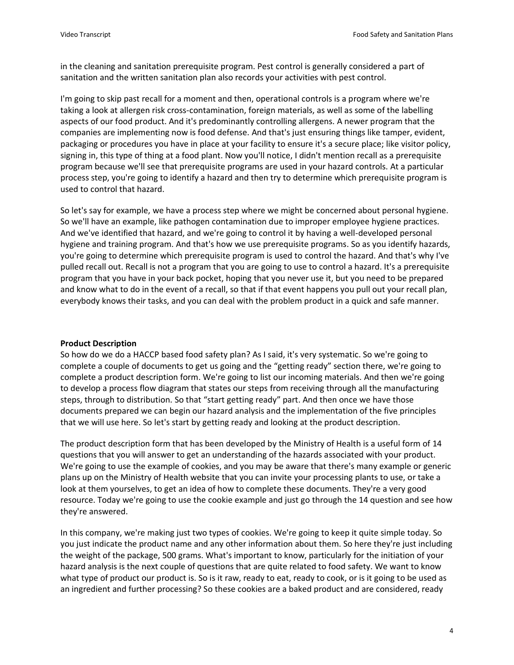in the cleaning and sanitation prerequisite program. Pest control is generally considered a part of sanitation and the written sanitation plan also records your activities with pest control.

I'm going to skip past recall for a moment and then, operational controls is a program where we're taking a look at allergen risk cross-contamination, foreign materials, as well as some of the labelling aspects of our food product. And it's predominantly controlling allergens. A newer program that the companies are implementing now is food defense. And that's just ensuring things like tamper, evident, packaging or procedures you have in place at your facility to ensure it's a secure place; like visitor policy, signing in, this type of thing at a food plant. Now you'll notice, I didn't mention recall as a prerequisite program because we'll see that prerequisite programs are used in your hazard controls. At a particular process step, you're going to identify a hazard and then try to determine which prerequisite program is used to control that hazard.

So let's say for example, we have a process step where we might be concerned about personal hygiene. So we'll have an example, like pathogen contamination due to improper employee hygiene practices. And we've identified that hazard, and we're going to control it by having a well-developed personal hygiene and training program. And that's how we use prerequisite programs. So as you identify hazards, you're going to determine which prerequisite program is used to control the hazard. And that's why I've pulled recall out. Recall is not a program that you are going to use to control a hazard. It's a prerequisite program that you have in your back pocket, hoping that you never use it, but you need to be prepared and know what to do in the event of a recall, so that if that event happens you pull out your recall plan, everybody knows their tasks, and you can deal with the problem product in a quick and safe manner.

### **Product Description**

So how do we do a HACCP based food safety plan? As I said, it's very systematic. So we're going to complete a couple of documents to get us going and the "getting ready" section there, we're going to complete a product description form. We're going to list our incoming materials. And then we're going to develop a process flow diagram that states our steps from receiving through all the manufacturing steps, through to distribution. So that "start getting ready" part. And then once we have those documents prepared we can begin our hazard analysis and the implementation of the five principles that we will use here. So let's start by getting ready and looking at the product description.

The product description form that has been developed by the Ministry of Health is a useful form of 14 questions that you will answer to get an understanding of the hazards associated with your product. We're going to use the example of cookies, and you may be aware that there's many example or generic plans up on the Ministry of Health website that you can invite your processing plants to use, or take a look at them yourselves, to get an idea of how to complete these documents. They're a very good resource. Today we're going to use the cookie example and just go through the 14 question and see how they're answered.

In this company, we're making just two types of cookies. We're going to keep it quite simple today. So you just indicate the product name and any other information about them. So here they're just including the weight of the package, 500 grams. What's important to know, particularly for the initiation of your hazard analysis is the next couple of questions that are quite related to food safety. We want to know what type of product our product is. So is it raw, ready to eat, ready to cook, or is it going to be used as an ingredient and further processing? So these cookies are a baked product and are considered, ready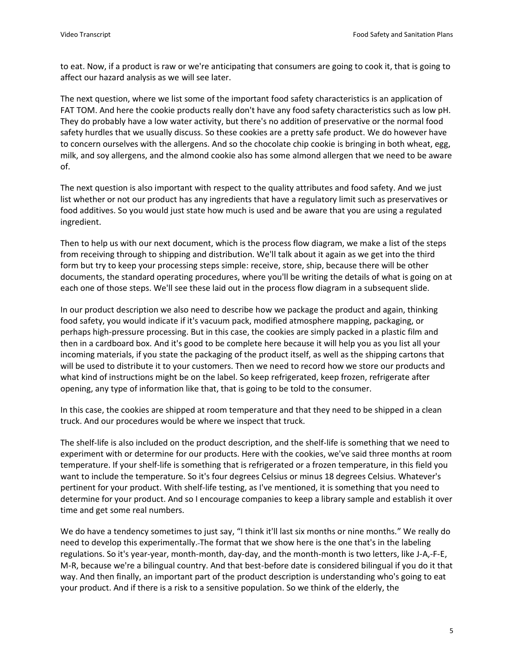to eat. Now, if a product is raw or we're anticipating that consumers are going to cook it, that is going to affect our hazard analysis as we will see later.

The next question, where we list some of the important food safety characteristics is an application of FAT TOM. And here the cookie products really don't have any food safety characteristics such as low pH. They do probably have a low water activity, but there's no addition of preservative or the normal food safety hurdles that we usually discuss. So these cookies are a pretty safe product. We do however have to concern ourselves with the allergens. And so the chocolate chip cookie is bringing in both wheat, egg, milk, and soy allergens, and the almond cookie also has some almond allergen that we need to be aware of.

The next question is also important with respect to the quality attributes and food safety. And we just list whether or not our product has any ingredients that have a regulatory limit such as preservatives or food additives. So you would just state how much is used and be aware that you are using a regulated ingredient.

Then to help us with our next document, which is the process flow diagram, we make a list of the steps from receiving through to shipping and distribution. We'll talk about it again as we get into the third form but try to keep your processing steps simple: receive, store, ship, because there will be other documents, the standard operating procedures, where you'll be writing the details of what is going on at each one of those steps. We'll see these laid out in the process flow diagram in a subsequent slide.

In our product description we also need to describe how we package the product and again, thinking food safety, you would indicate if it's vacuum pack, modified atmosphere mapping, packaging, or perhaps high-pressure processing. But in this case, the cookies are simply packed in a plastic film and then in a cardboard box. And it's good to be complete here because it will help you as you list all your incoming materials, if you state the packaging of the product itself, as well as the shipping cartons that will be used to distribute it to your customers. Then we need to record how we store our products and what kind of instructions might be on the label. So keep refrigerated, keep frozen, refrigerate after opening, any type of information like that, that is going to be told to the consumer.

In this case, the cookies are shipped at room temperature and that they need to be shipped in a clean truck. And our procedures would be where we inspect that truck.

The shelf-life is also included on the product description, and the shelf-life is something that we need to experiment with or determine for our products. Here with the cookies, we've said three months at room temperature. If your shelf-life is something that is refrigerated or a frozen temperature, in this field you want to include the temperature. So it's four degrees Celsius or minus 18 degrees Celsius. Whatever's pertinent for your product. With shelf-life testing, as I've mentioned, it is something that you need to determine for your product. And so I encourage companies to keep a library sample and establish it over time and get some real numbers.

We do have a tendency sometimes to just say, "I think it'll last six months or nine months." We really do need to develop this experimentally. The format that we show here is the one that's in the labeling regulations. So it's year-year, month-month, day-day, and the month-month is two letters, like J-A,-F-E, M-R, because we're a bilingual country. And that best-before date is considered bilingual if you do it that way. And then finally, an important part of the product description is understanding who's going to eat your product. And if there is a risk to a sensitive population. So we think of the elderly, the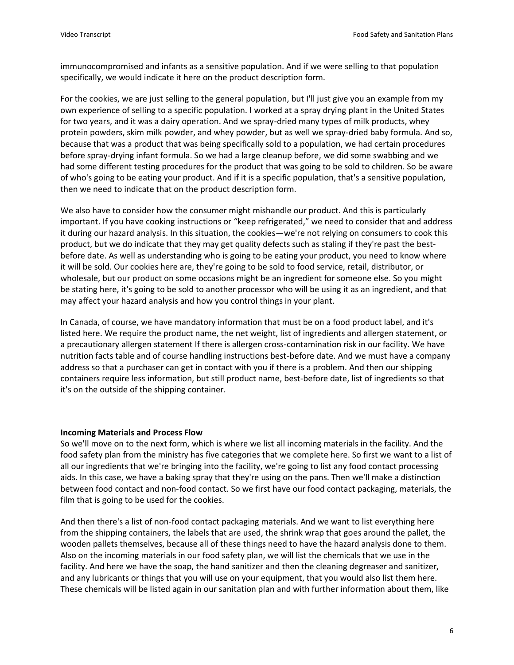immunocompromised and infants as a sensitive population. And if we were selling to that population specifically, we would indicate it here on the product description form.

For the cookies, we are just selling to the general population, but I'll just give you an example from my own experience of selling to a specific population. I worked at a spray drying plant in the United States for two years, and it was a dairy operation. And we spray-dried many types of milk products, whey protein powders, skim milk powder, and whey powder, but as well we spray-dried baby formula. And so, because that was a product that was being specifically sold to a population, we had certain procedures before spray-drying infant formula. So we had a large cleanup before, we did some swabbing and we had some different testing procedures for the product that was going to be sold to children. So be aware of who's going to be eating your product. And if it is a specific population, that's a sensitive population, then we need to indicate that on the product description form.

We also have to consider how the consumer might mishandle our product. And this is particularly important. If you have cooking instructions or "keep refrigerated," we need to consider that and address it during our hazard analysis. In this situation, the cookies—we're not relying on consumers to cook this product, but we do indicate that they may get quality defects such as staling if they're past the bestbefore date. As well as understanding who is going to be eating your product, you need to know where it will be sold. Our cookies here are, they're going to be sold to food service, retail, distributor, or wholesale, but our product on some occasions might be an ingredient for someone else. So you might be stating here, it's going to be sold to another processor who will be using it as an ingredient, and that may affect your hazard analysis and how you control things in your plant.

In Canada, of course, we have mandatory information that must be on a food product label, and it's listed here. We require the product name, the net weight, list of ingredients and allergen statement, or a precautionary allergen statement If there is allergen cross-contamination risk in our facility. We have nutrition facts table and of course handling instructions best-before date. And we must have a company address so that a purchaser can get in contact with you if there is a problem. And then our shipping containers require less information, but still product name, best-before date, list of ingredients so that it's on the outside of the shipping container.

#### **Incoming Materials and Process Flow**

So we'll move on to the next form, which is where we list all incoming materials in the facility. And the food safety plan from the ministry has five categories that we complete here. So first we want to a list of all our ingredients that we're bringing into the facility, we're going to list any food contact processing aids. In this case, we have a baking spray that they're using on the pans. Then we'll make a distinction between food contact and non-food contact. So we first have our food contact packaging, materials, the film that is going to be used for the cookies.

And then there's a list of non-food contact packaging materials. And we want to list everything here from the shipping containers, the labels that are used, the shrink wrap that goes around the pallet, the wooden pallets themselves, because all of these things need to have the hazard analysis done to them. Also on the incoming materials in our food safety plan, we will list the chemicals that we use in the facility. And here we have the soap, the hand sanitizer and then the cleaning degreaser and sanitizer, and any lubricants or things that you will use on your equipment, that you would also list them here. These chemicals will be listed again in our sanitation plan and with further information about them, like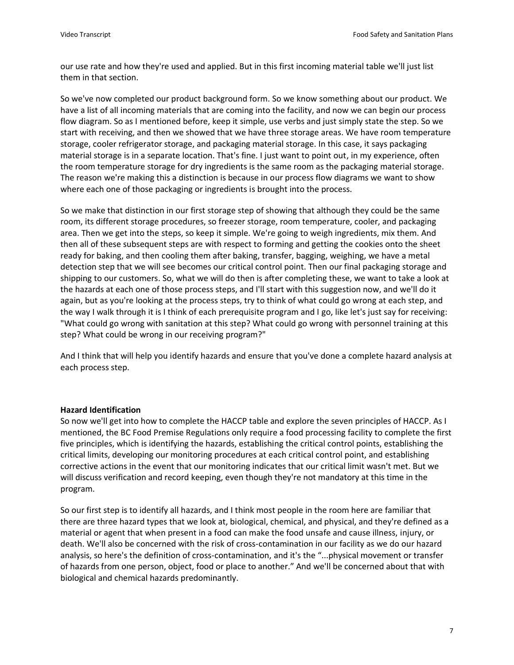our use rate and how they're used and applied. But in this first incoming material table we'll just list them in that section.

So we've now completed our product background form. So we know something about our product. We have a list of all incoming materials that are coming into the facility, and now we can begin our process flow diagram. So as I mentioned before, keep it simple, use verbs and just simply state the step. So we start with receiving, and then we showed that we have three storage areas. We have room temperature storage, cooler refrigerator storage, and packaging material storage. In this case, it says packaging material storage is in a separate location. That's fine. I just want to point out, in my experience, often the room temperature storage for dry ingredients is the same room as the packaging material storage. The reason we're making this a distinction is because in our process flow diagrams we want to show where each one of those packaging or ingredients is brought into the process.

So we make that distinction in our first storage step of showing that although they could be the same room, its different storage procedures, so freezer storage, room temperature, cooler, and packaging area. Then we get into the steps, so keep it simple. We're going to weigh ingredients, mix them. And then all of these subsequent steps are with respect to forming and getting the cookies onto the sheet ready for baking, and then cooling them after baking, transfer, bagging, weighing, we have a metal detection step that we will see becomes our critical control point. Then our final packaging storage and shipping to our customers. So, what we will do then is after completing these, we want to take a look at the hazards at each one of those process steps, and I'll start with this suggestion now, and we'll do it again, but as you're looking at the process steps, try to think of what could go wrong at each step, and the way I walk through it is I think of each prerequisite program and I go, like let's just say for receiving: "What could go wrong with sanitation at this step? What could go wrong with personnel training at this step? What could be wrong in our receiving program?"

And I think that will help you identify hazards and ensure that you've done a complete hazard analysis at each process step.

### **Hazard Identification**

So now we'll get into how to complete the HACCP table and explore the seven principles of HACCP. As I mentioned, the BC Food Premise Regulations only require a food processing facility to complete the first five principles, which is identifying the hazards, establishing the critical control points, establishing the critical limits, developing our monitoring procedures at each critical control point, and establishing corrective actions in the event that our monitoring indicates that our critical limit wasn't met. But we will discuss verification and record keeping, even though they're not mandatory at this time in the program.

So our first step is to identify all hazards, and I think most people in the room here are familiar that there are three hazard types that we look at, biological, chemical, and physical, and they're defined as a material or agent that when present in a food can make the food unsafe and cause illness, injury, or death. We'll also be concerned with the risk of cross-contamination in our facility as we do our hazard analysis, so here's the definition of cross-contamination, and it's the "...physical movement or transfer of hazards from one person, object, food or place to another." And we'll be concerned about that with biological and chemical hazards predominantly.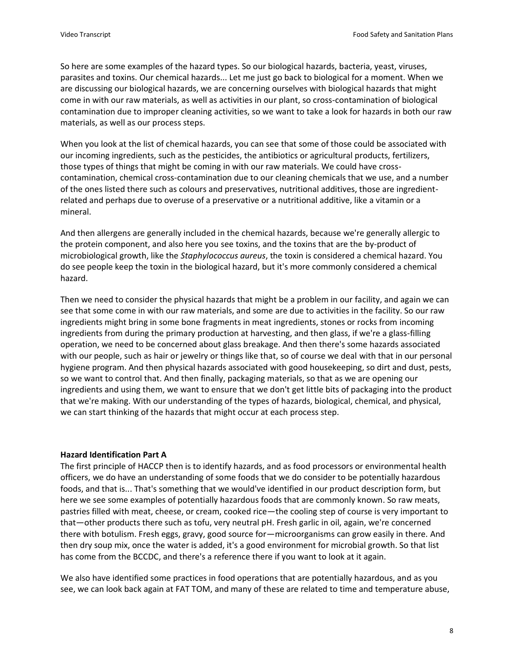So here are some examples of the hazard types. So our biological hazards, bacteria, yeast, viruses, parasites and toxins. Our chemical hazards... Let me just go back to biological for a moment. When we are discussing our biological hazards, we are concerning ourselves with biological hazards that might come in with our raw materials, as well as activities in our plant, so cross-contamination of biological contamination due to improper cleaning activities, so we want to take a look for hazards in both our raw materials, as well as our process steps.

When you look at the list of chemical hazards, you can see that some of those could be associated with our incoming ingredients, such as the pesticides, the antibiotics or agricultural products, fertilizers, those types of things that might be coming in with our raw materials. We could have crosscontamination, chemical cross-contamination due to our cleaning chemicals that we use, and a number of the ones listed there such as colours and preservatives, nutritional additives, those are ingredientrelated and perhaps due to overuse of a preservative or a nutritional additive, like a vitamin or a mineral.

And then allergens are generally included in the chemical hazards, because we're generally allergic to the protein component, and also here you see toxins, and the toxins that are the by-product of microbiological growth, like the *Staphylococcus aureus*, the toxin is considered a chemical hazard. You do see people keep the toxin in the biological hazard, but it's more commonly considered a chemical hazard.

Then we need to consider the physical hazards that might be a problem in our facility, and again we can see that some come in with our raw materials, and some are due to activities in the facility. So our raw ingredients might bring in some bone fragments in meat ingredients, stones or rocks from incoming ingredients from during the primary production at harvesting, and then glass, if we're a glass-filling operation, we need to be concerned about glass breakage. And then there's some hazards associated with our people, such as hair or jewelry or things like that, so of course we deal with that in our personal hygiene program. And then physical hazards associated with good housekeeping, so dirt and dust, pests, so we want to control that. And then finally, packaging materials, so that as we are opening our ingredients and using them, we want to ensure that we don't get little bits of packaging into the product that we're making. With our understanding of the types of hazards, biological, chemical, and physical, we can start thinking of the hazards that might occur at each process step.

# **Hazard Identification Part A**

The first principle of HACCP then is to identify hazards, and as food processors or environmental health officers, we do have an understanding of some foods that we do consider to be potentially hazardous foods, and that is... That's something that we would've identified in our product description form, but here we see some examples of potentially hazardous foods that are commonly known. So raw meats, pastries filled with meat, cheese, or cream, cooked rice—the cooling step of course is very important to that—other products there such as tofu, very neutral pH. Fresh garlic in oil, again, we're concerned there with botulism. Fresh eggs, gravy, good source for—microorganisms can grow easily in there. And then dry soup mix, once the water is added, it's a good environment for microbial growth. So that list has come from the BCCDC, and there's a reference there if you want to look at it again.

We also have identified some practices in food operations that are potentially hazardous, and as you see, we can look back again at FAT TOM, and many of these are related to time and temperature abuse,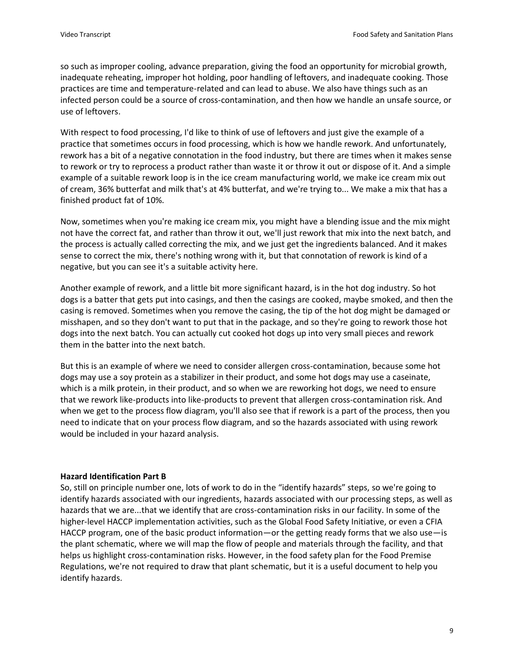so such as improper cooling, advance preparation, giving the food an opportunity for microbial growth, inadequate reheating, improper hot holding, poor handling of leftovers, and inadequate cooking. Those practices are time and temperature-related and can lead to abuse. We also have things such as an infected person could be a source of cross-contamination, and then how we handle an unsafe source, or use of leftovers.

With respect to food processing, I'd like to think of use of leftovers and just give the example of a practice that sometimes occurs in food processing, which is how we handle rework. And unfortunately, rework has a bit of a negative connotation in the food industry, but there are times when it makes sense to rework or try to reprocess a product rather than waste it or throw it out or dispose of it. And a simple example of a suitable rework loop is in the ice cream manufacturing world, we make ice cream mix out of cream, 36% butterfat and milk that's at 4% butterfat, and we're trying to... We make a mix that has a finished product fat of 10%.

Now, sometimes when you're making ice cream mix, you might have a blending issue and the mix might not have the correct fat, and rather than throw it out, we'll just rework that mix into the next batch, and the process is actually called correcting the mix, and we just get the ingredients balanced. And it makes sense to correct the mix, there's nothing wrong with it, but that connotation of rework is kind of a negative, but you can see it's a suitable activity here.

Another example of rework, and a little bit more significant hazard, is in the hot dog industry. So hot dogs is a batter that gets put into casings, and then the casings are cooked, maybe smoked, and then the casing is removed. Sometimes when you remove the casing, the tip of the hot dog might be damaged or misshapen, and so they don't want to put that in the package, and so they're going to rework those hot dogs into the next batch. You can actually cut cooked hot dogs up into very small pieces and rework them in the batter into the next batch.

But this is an example of where we need to consider allergen cross-contamination, because some hot dogs may use a soy protein as a stabilizer in their product, and some hot dogs may use a caseinate, which is a milk protein, in their product, and so when we are reworking hot dogs, we need to ensure that we rework like-products into like-products to prevent that allergen cross-contamination risk. And when we get to the process flow diagram, you'll also see that if rework is a part of the process, then you need to indicate that on your process flow diagram, and so the hazards associated with using rework would be included in your hazard analysis.

#### **Hazard Identification Part B**

So, still on principle number one, lots of work to do in the "identify hazards" steps, so we're going to identify hazards associated with our ingredients, hazards associated with our processing steps, as well as hazards that we are...that we identify that are cross-contamination risks in our facility. In some of the higher-level HACCP implementation activities, such as the Global Food Safety Initiative, or even a CFIA HACCP program, one of the basic product information—or the getting ready forms that we also use—is the plant schematic, where we will map the flow of people and materials through the facility, and that helps us highlight cross-contamination risks. However, in the food safety plan for the Food Premise Regulations, we're not required to draw that plant schematic, but it is a useful document to help you identify hazards.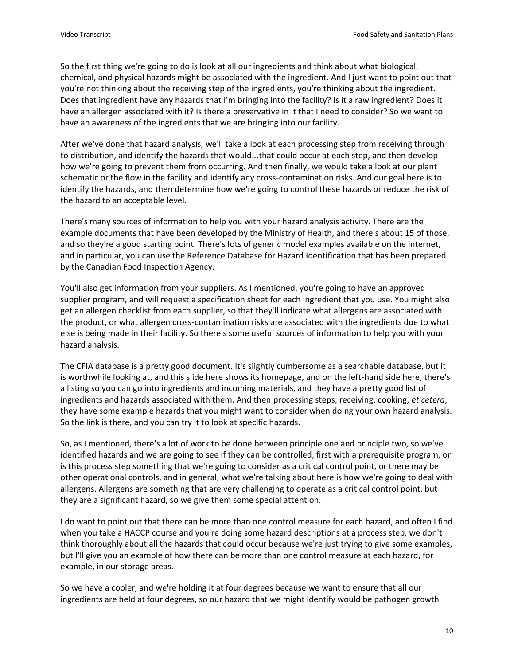So the first thing we're going to do is look at all our ingredients and think about what biological, chemical, and physical hazards might be associated with the ingredient. And I just want to point out that you're not thinking about the receiving step of the ingredients, you're thinking about the ingredient. Does that ingredient have any hazards that I'm bringing into the facility? Is it a raw ingredient? Does it have an allergen associated with it? Is there a preservative in it that I need to consider? So we want to have an awareness of the ingredients that we are bringing into our facility.

After we've done that hazard analysis, we'll take a look at each processing step from receiving through to distribution, and identify the hazards that would...that could occur at each step, and then develop how we're going to prevent them from occurring. And then finally, we would take a look at our plant schematic or the flow in the facility and identify any cross-contamination risks. And our goal here is to identify the hazards, and then determine how we're going to control these hazards or reduce the risk of the hazard to an acceptable level.

There's many sources of information to help you with your hazard analysis activity. There are the example documents that have been developed by the Ministry of Health, and there's about 15 of those, and so they're a good starting point. There's lots of generic model examples available on the internet, and in particular, you can use the Reference Database for Hazard Identification that has been prepared by the Canadian Food Inspection Agency.

You'll also get information from your suppliers. As I mentioned, you're going to have an approved supplier program, and will request a specification sheet for each ingredient that you use. You might also get an allergen checklist from each supplier, so that they'll indicate what allergens are associated with the product, or what allergen cross-contamination risks are associated with the ingredients due to what else is being made in their facility. So there's some useful sources of information to help you with your hazard analysis.

The CFIA database is a pretty good document. It's slightly cumbersome as a searchable database, but it is worthwhile looking at, and this slide here shows its homepage, and on the left-hand side here, there's a listing so you can go into ingredients and incoming materials, and they have a pretty good list of ingredients and hazards associated with them. And then processing steps, receiving, cooking, *et cetera*, they have some example hazards that you might want to consider when doing your own hazard analysis. So the link is there, and you can try it to look at specific hazards.

So, as I mentioned, there's a lot of work to be done between principle one and principle two, so we've identified hazards and we are going to see if they can be controlled, first with a prerequisite program, or is this process step something that we're going to consider as a critical control point, or there may be other operational controls, and in general, what we're talking about here is how we're going to deal with allergens. Allergens are something that are very challenging to operate as a critical control point, but they are a significant hazard, so we give them some special attention.

I do want to point out that there can be more than one control measure for each hazard, and often I find when you take a HACCP course and you're doing some hazard descriptions at a process step, we don't think thoroughly about all the hazards that could occur because we're just trying to give some examples, but I'll give you an example of how there can be more than one control measure at each hazard, for example, in our storage areas.

So we have a cooler, and we're holding it at four degrees because we want to ensure that all our ingredients are held at four degrees, so our hazard that we might identify would be pathogen growth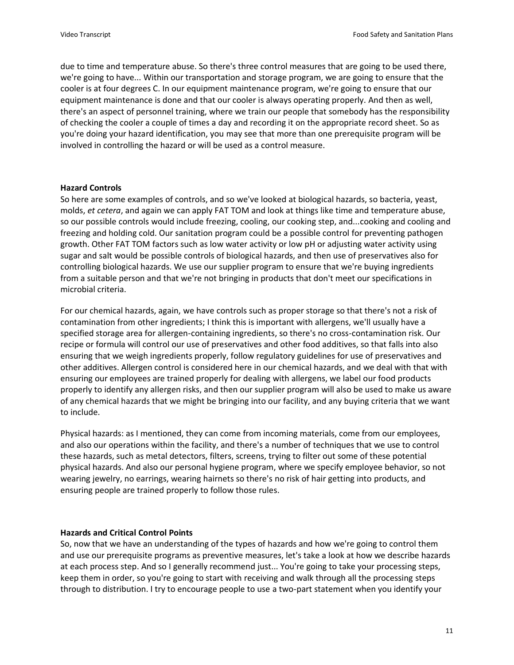due to time and temperature abuse. So there's three control measures that are going to be used there, we're going to have... Within our transportation and storage program, we are going to ensure that the cooler is at four degrees C. In our equipment maintenance program, we're going to ensure that our equipment maintenance is done and that our cooler is always operating properly. And then as well, there's an aspect of personnel training, where we train our people that somebody has the responsibility of checking the cooler a couple of times a day and recording it on the appropriate record sheet. So as you're doing your hazard identification, you may see that more than one prerequisite program will be involved in controlling the hazard or will be used as a control measure.

### **Hazard Controls**

So here are some examples of controls, and so we've looked at biological hazards, so bacteria, yeast, molds, *et cetera*, and again we can apply FAT TOM and look at things like time and temperature abuse, so our possible controls would include freezing, cooling, our cooking step, and...cooking and cooling and freezing and holding cold. Our sanitation program could be a possible control for preventing pathogen growth. Other FAT TOM factors such as low water activity or low pH or adjusting water activity using sugar and salt would be possible controls of biological hazards, and then use of preservatives also for controlling biological hazards. We use our supplier program to ensure that we're buying ingredients from a suitable person and that we're not bringing in products that don't meet our specifications in microbial criteria.

For our chemical hazards, again, we have controls such as proper storage so that there's not a risk of contamination from other ingredients; I think this is important with allergens, we'll usually have a specified storage area for allergen-containing ingredients, so there's no cross-contamination risk. Our recipe or formula will control our use of preservatives and other food additives, so that falls into also ensuring that we weigh ingredients properly, follow regulatory guidelines for use of preservatives and other additives. Allergen control is considered here in our chemical hazards, and we deal with that with ensuring our employees are trained properly for dealing with allergens, we label our food products properly to identify any allergen risks, and then our supplier program will also be used to make us aware of any chemical hazards that we might be bringing into our facility, and any buying criteria that we want to include.

Physical hazards: as I mentioned, they can come from incoming materials, come from our employees, and also our operations within the facility, and there's a number of techniques that we use to control these hazards, such as metal detectors, filters, screens, trying to filter out some of these potential physical hazards. And also our personal hygiene program, where we specify employee behavior, so not wearing jewelry, no earrings, wearing hairnets so there's no risk of hair getting into products, and ensuring people are trained properly to follow those rules.

# **Hazards and Critical Control Points**

So, now that we have an understanding of the types of hazards and how we're going to control them and use our prerequisite programs as preventive measures, let's take a look at how we describe hazards at each process step. And so I generally recommend just... You're going to take your processing steps, keep them in order, so you're going to start with receiving and walk through all the processing steps through to distribution. I try to encourage people to use a two-part statement when you identify your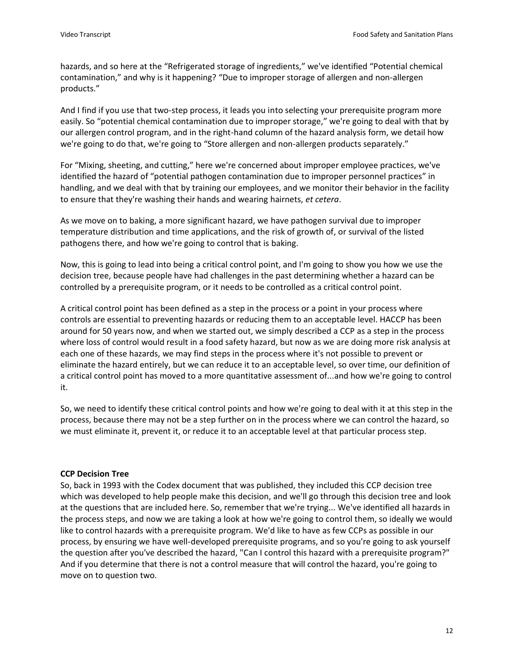hazards, and so here at the "Refrigerated storage of ingredients," we've identified "Potential chemical contamination," and why is it happening? "Due to improper storage of allergen and non-allergen products."

And I find if you use that two-step process, it leads you into selecting your prerequisite program more easily. So "potential chemical contamination due to improper storage," we're going to deal with that by our allergen control program, and in the right-hand column of the hazard analysis form, we detail how we're going to do that, we're going to "Store allergen and non-allergen products separately."

For "Mixing, sheeting, and cutting," here we're concerned about improper employee practices, we've identified the hazard of "potential pathogen contamination due to improper personnel practices" in handling, and we deal with that by training our employees, and we monitor their behavior in the facility to ensure that they're washing their hands and wearing hairnets, *et cetera*.

As we move on to baking, a more significant hazard, we have pathogen survival due to improper temperature distribution and time applications, and the risk of growth of, or survival of the listed pathogens there, and how we're going to control that is baking.

Now, this is going to lead into being a critical control point, and I'm going to show you how we use the decision tree, because people have had challenges in the past determining whether a hazard can be controlled by a prerequisite program, or it needs to be controlled as a critical control point.

A critical control point has been defined as a step in the process or a point in your process where controls are essential to preventing hazards or reducing them to an acceptable level. HACCP has been around for 50 years now, and when we started out, we simply described a CCP as a step in the process where loss of control would result in a food safety hazard, but now as we are doing more risk analysis at each one of these hazards, we may find steps in the process where it's not possible to prevent or eliminate the hazard entirely, but we can reduce it to an acceptable level, so over time, our definition of a critical control point has moved to a more quantitative assessment of...and how we're going to control it.

So, we need to identify these critical control points and how we're going to deal with it at this step in the process, because there may not be a step further on in the process where we can control the hazard, so we must eliminate it, prevent it, or reduce it to an acceptable level at that particular process step.

# **CCP Decision Tree**

So, back in 1993 with the Codex document that was published, they included this CCP decision tree which was developed to help people make this decision, and we'll go through this decision tree and look at the questions that are included here. So, remember that we're trying... We've identified all hazards in the process steps, and now we are taking a look at how we're going to control them, so ideally we would like to control hazards with a prerequisite program. We'd like to have as few CCPs as possible in our process, by ensuring we have well-developed prerequisite programs, and so you're going to ask yourself the question after you've described the hazard, "Can I control this hazard with a prerequisite program?" And if you determine that there is not a control measure that will control the hazard, you're going to move on to question two.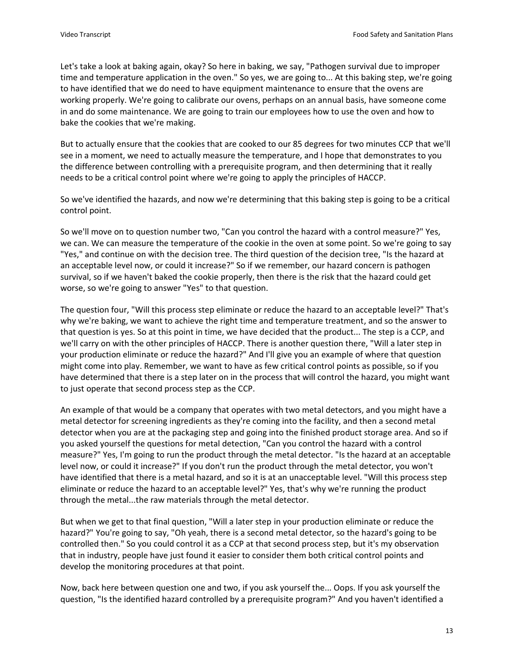Let's take a look at baking again, okay? So here in baking, we say, "Pathogen survival due to improper time and temperature application in the oven." So yes, we are going to... At this baking step, we're going to have identified that we do need to have equipment maintenance to ensure that the ovens are working properly. We're going to calibrate our ovens, perhaps on an annual basis, have someone come in and do some maintenance. We are going to train our employees how to use the oven and how to bake the cookies that we're making.

But to actually ensure that the cookies that are cooked to our 85 degrees for two minutes CCP that we'll see in a moment, we need to actually measure the temperature, and I hope that demonstrates to you the difference between controlling with a prerequisite program, and then determining that it really needs to be a critical control point where we're going to apply the principles of HACCP.

So we've identified the hazards, and now we're determining that this baking step is going to be a critical control point.

So we'll move on to question number two, "Can you control the hazard with a control measure?" Yes, we can. We can measure the temperature of the cookie in the oven at some point. So we're going to say "Yes," and continue on with the decision tree. The third question of the decision tree, "Is the hazard at an acceptable level now, or could it increase?" So if we remember, our hazard concern is pathogen survival, so if we haven't baked the cookie properly, then there is the risk that the hazard could get worse, so we're going to answer "Yes" to that question.

The question four, "Will this process step eliminate or reduce the hazard to an acceptable level?" That's why we're baking, we want to achieve the right time and temperature treatment, and so the answer to that question is yes. So at this point in time, we have decided that the product... The step is a CCP, and we'll carry on with the other principles of HACCP. There is another question there, "Will a later step in your production eliminate or reduce the hazard?" And I'll give you an example of where that question might come into play. Remember, we want to have as few critical control points as possible, so if you have determined that there is a step later on in the process that will control the hazard, you might want to just operate that second process step as the CCP.

An example of that would be a company that operates with two metal detectors, and you might have a metal detector for screening ingredients as they're coming into the facility, and then a second metal detector when you are at the packaging step and going into the finished product storage area. And so if you asked yourself the questions for metal detection, "Can you control the hazard with a control measure?" Yes, I'm going to run the product through the metal detector. "Is the hazard at an acceptable level now, or could it increase?" If you don't run the product through the metal detector, you won't have identified that there is a metal hazard, and so it is at an unacceptable level. "Will this process step eliminate or reduce the hazard to an acceptable level?" Yes, that's why we're running the product through the metal...the raw materials through the metal detector.

But when we get to that final question, "Will a later step in your production eliminate or reduce the hazard?" You're going to say, "Oh yeah, there is a second metal detector, so the hazard's going to be controlled then." So you could control it as a CCP at that second process step, but it's my observation that in industry, people have just found it easier to consider them both critical control points and develop the monitoring procedures at that point.

Now, back here between question one and two, if you ask yourself the... Oops. If you ask yourself the question, "Is the identified hazard controlled by a prerequisite program?" And you haven't identified a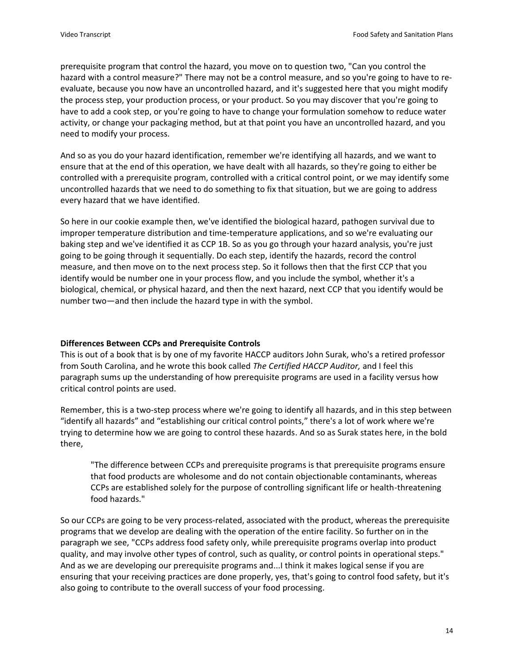prerequisite program that control the hazard, you move on to question two, "Can you control the hazard with a control measure?" There may not be a control measure, and so you're going to have to reevaluate, because you now have an uncontrolled hazard, and it's suggested here that you might modify the process step, your production process, or your product. So you may discover that you're going to have to add a cook step, or you're going to have to change your formulation somehow to reduce water activity, or change your packaging method, but at that point you have an uncontrolled hazard, and you need to modify your process.

And so as you do your hazard identification, remember we're identifying all hazards, and we want to ensure that at the end of this operation, we have dealt with all hazards, so they're going to either be controlled with a prerequisite program, controlled with a critical control point, or we may identify some uncontrolled hazards that we need to do something to fix that situation, but we are going to address every hazard that we have identified.

So here in our cookie example then, we've identified the biological hazard, pathogen survival due to improper temperature distribution and time-temperature applications, and so we're evaluating our baking step and we've identified it as CCP 1B. So as you go through your hazard analysis, you're just going to be going through it sequentially. Do each step, identify the hazards, record the control measure, and then move on to the next process step. So it follows then that the first CCP that you identify would be number one in your process flow, and you include the symbol, whether it's a biological, chemical, or physical hazard, and then the next hazard, next CCP that you identify would be number two—and then include the hazard type in with the symbol.

### **Differences Between CCPs and Prerequisite Controls**

This is out of a book that is by one of my favorite HACCP auditors John Surak, who's a retired professor from South Carolina, and he wrote this book called *The Certified HACCP Auditor,* and I feel this paragraph sums up the understanding of how prerequisite programs are used in a facility versus how critical control points are used.

Remember, this is a two-step process where we're going to identify all hazards, and in this step between "identify all hazards" and "establishing our critical control points," there's a lot of work where we're trying to determine how we are going to control these hazards. And so as Surak states here, in the bold there,

"The difference between CCPs and prerequisite programs is that prerequisite programs ensure that food products are wholesome and do not contain objectionable contaminants, whereas CCPs are established solely for the purpose of controlling significant life or health-threatening food hazards."

So our CCPs are going to be very process-related, associated with the product, whereas the prerequisite programs that we develop are dealing with the operation of the entire facility. So further on in the paragraph we see, "CCPs address food safety only, while prerequisite programs overlap into product quality, and may involve other types of control, such as quality, or control points in operational steps." And as we are developing our prerequisite programs and...I think it makes logical sense if you are ensuring that your receiving practices are done properly, yes, that's going to control food safety, but it's also going to contribute to the overall success of your food processing.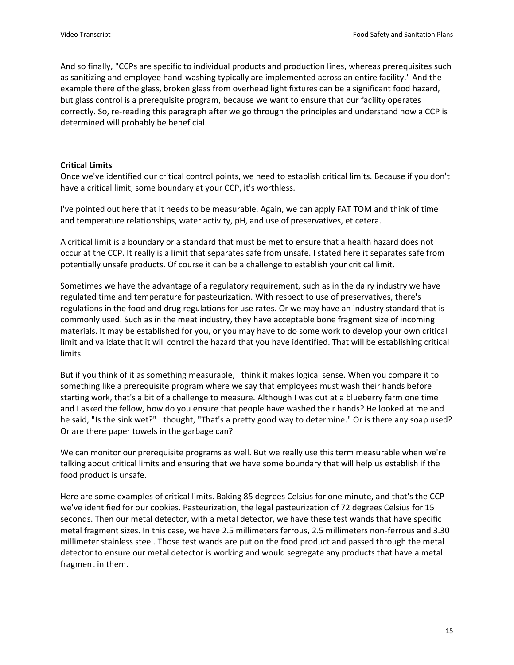And so finally, "CCPs are specific to individual products and production lines, whereas prerequisites such as sanitizing and employee hand-washing typically are implemented across an entire facility." And the example there of the glass, broken glass from overhead light fixtures can be a significant food hazard, but glass control is a prerequisite program, because we want to ensure that our facility operates correctly. So, re-reading this paragraph after we go through the principles and understand how a CCP is determined will probably be beneficial.

### **Critical Limits**

Once we've identified our critical control points, we need to establish critical limits. Because if you don't have a critical limit, some boundary at your CCP, it's worthless.

I've pointed out here that it needs to be measurable. Again, we can apply FAT TOM and think of time and temperature relationships, water activity, pH, and use of preservatives, et cetera.

A critical limit is a boundary or a standard that must be met to ensure that a health hazard does not occur at the CCP. It really is a limit that separates safe from unsafe. I stated here it separates safe from potentially unsafe products. Of course it can be a challenge to establish your critical limit.

Sometimes we have the advantage of a regulatory requirement, such as in the dairy industry we have regulated time and temperature for pasteurization. With respect to use of preservatives, there's regulations in the food and drug regulations for use rates. Or we may have an industry standard that is commonly used. Such as in the meat industry, they have acceptable bone fragment size of incoming materials. It may be established for you, or you may have to do some work to develop your own critical limit and validate that it will control the hazard that you have identified. That will be establishing critical limits.

But if you think of it as something measurable, I think it makes logical sense. When you compare it to something like a prerequisite program where we say that employees must wash their hands before starting work, that's a bit of a challenge to measure. Although I was out at a blueberry farm one time and I asked the fellow, how do you ensure that people have washed their hands? He looked at me and he said, "Is the sink wet?" I thought, "That's a pretty good way to determine." Or is there any soap used? Or are there paper towels in the garbage can?

We can monitor our prerequisite programs as well. But we really use this term measurable when we're talking about critical limits and ensuring that we have some boundary that will help us establish if the food product is unsafe.

Here are some examples of critical limits. Baking 85 degrees Celsius for one minute, and that's the CCP we've identified for our cookies. Pasteurization, the legal pasteurization of 72 degrees Celsius for 15 seconds. Then our metal detector, with a metal detector, we have these test wands that have specific metal fragment sizes. In this case, we have 2.5 millimeters ferrous, 2.5 millimeters non-ferrous and 3.30 millimeter stainless steel. Those test wands are put on the food product and passed through the metal detector to ensure our metal detector is working and would segregate any products that have a metal fragment in them.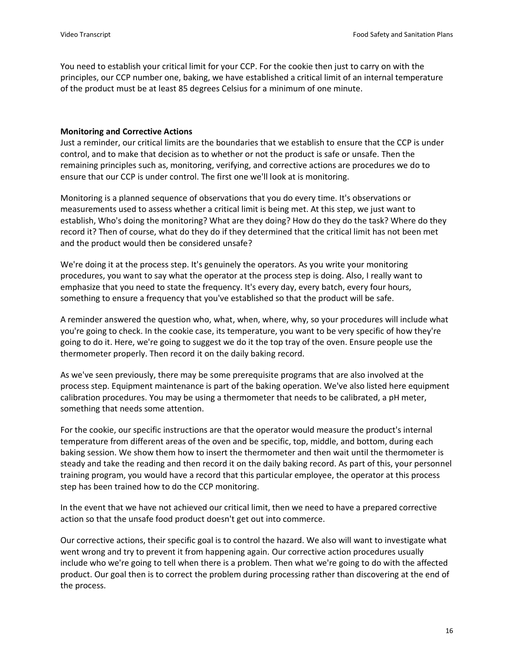You need to establish your critical limit for your CCP. For the cookie then just to carry on with the principles, our CCP number one, baking, we have established a critical limit of an internal temperature of the product must be at least 85 degrees Celsius for a minimum of one minute.

### **Monitoring and Corrective Actions**

Just a reminder, our critical limits are the boundaries that we establish to ensure that the CCP is under control, and to make that decision as to whether or not the product is safe or unsafe. Then the remaining principles such as, monitoring, verifying, and corrective actions are procedures we do to ensure that our CCP is under control. The first one we'll look at is monitoring.

Monitoring is a planned sequence of observations that you do every time. It's observations or measurements used to assess whether a critical limit is being met. At this step, we just want to establish, Who's doing the monitoring? What are they doing? How do they do the task? Where do they record it? Then of course, what do they do if they determined that the critical limit has not been met and the product would then be considered unsafe?

We're doing it at the process step. It's genuinely the operators. As you write your monitoring procedures, you want to say what the operator at the process step is doing. Also, I really want to emphasize that you need to state the frequency. It's every day, every batch, every four hours, something to ensure a frequency that you've established so that the product will be safe.

A reminder answered the question who, what, when, where, why, so your procedures will include what you're going to check. In the cookie case, its temperature, you want to be very specific of how they're going to do it. Here, we're going to suggest we do it the top tray of the oven. Ensure people use the thermometer properly. Then record it on the daily baking record.

As we've seen previously, there may be some prerequisite programs that are also involved at the process step. Equipment maintenance is part of the baking operation. We've also listed here equipment calibration procedures. You may be using a thermometer that needs to be calibrated, a pH meter, something that needs some attention.

For the cookie, our specific instructions are that the operator would measure the product's internal temperature from different areas of the oven and be specific, top, middle, and bottom, during each baking session. We show them how to insert the thermometer and then wait until the thermometer is steady and take the reading and then record it on the daily baking record. As part of this, your personnel training program, you would have a record that this particular employee, the operator at this process step has been trained how to do the CCP monitoring.

In the event that we have not achieved our critical limit, then we need to have a prepared corrective action so that the unsafe food product doesn't get out into commerce.

Our corrective actions, their specific goal is to control the hazard. We also will want to investigate what went wrong and try to prevent it from happening again. Our corrective action procedures usually include who we're going to tell when there is a problem. Then what we're going to do with the affected product. Our goal then is to correct the problem during processing rather than discovering at the end of the process.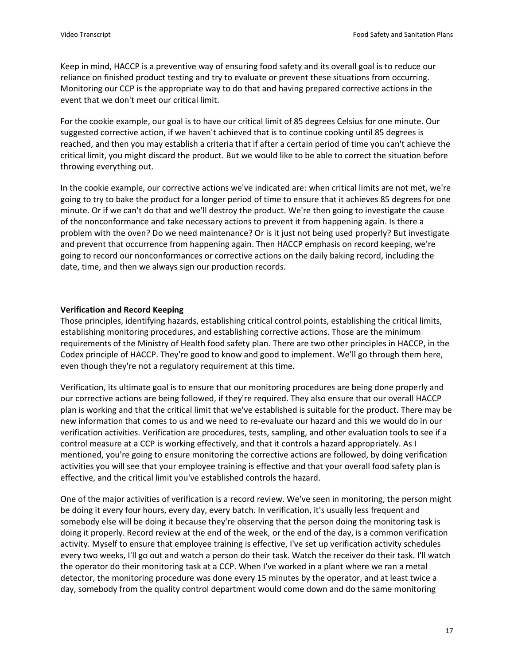Keep in mind, HACCP is a preventive way of ensuring food safety and its overall goal is to reduce our reliance on finished product testing and try to evaluate or prevent these situations from occurring. Monitoring our CCP is the appropriate way to do that and having prepared corrective actions in the event that we don't meet our critical limit.

For the cookie example, our goal is to have our critical limit of 85 degrees Celsius for one minute. Our suggested corrective action, if we haven't achieved that is to continue cooking until 85 degrees is reached, and then you may establish a criteria that if after a certain period of time you can't achieve the critical limit, you might discard the product. But we would like to be able to correct the situation before throwing everything out.

In the cookie example, our corrective actions we've indicated are: when critical limits are not met, we're going to try to bake the product for a longer period of time to ensure that it achieves 85 degrees for one minute. Or if we can't do that and we'll destroy the product. We're then going to investigate the cause of the nonconformance and take necessary actions to prevent it from happening again. Is there a problem with the oven? Do we need maintenance? Or is it just not being used properly? But investigate and prevent that occurrence from happening again. Then HACCP emphasis on record keeping, we're going to record our nonconformances or corrective actions on the daily baking record, including the date, time, and then we always sign our production records.

### **Verification and Record Keeping**

Those principles, identifying hazards, establishing critical control points, establishing the critical limits, establishing monitoring procedures, and establishing corrective actions. Those are the minimum requirements of the Ministry of Health food safety plan. There are two other principles in HACCP, in the Codex principle of HACCP. They're good to know and good to implement. We'll go through them here, even though they're not a regulatory requirement at this time.

Verification, its ultimate goal is to ensure that our monitoring procedures are being done properly and our corrective actions are being followed, if they're required. They also ensure that our overall HACCP plan is working and that the critical limit that we've established is suitable for the product. There may be new information that comes to us and we need to re-evaluate our hazard and this we would do in our verification activities. Verification are procedures, tests, sampling, and other evaluation tools to see if a control measure at a CCP is working effectively, and that it controls a hazard appropriately. As I mentioned, you're going to ensure monitoring the corrective actions are followed, by doing verification activities you will see that your employee training is effective and that your overall food safety plan is effective, and the critical limit you've established controls the hazard.

One of the major activities of verification is a record review. We've seen in monitoring, the person might be doing it every four hours, every day, every batch. In verification, it's usually less frequent and somebody else will be doing it because they're observing that the person doing the monitoring task is doing it properly. Record review at the end of the week, or the end of the day, is a common verification activity. Myself to ensure that employee training is effective, I've set up verification activity schedules every two weeks, I'll go out and watch a person do their task. Watch the receiver do their task. I'll watch the operator do their monitoring task at a CCP. When I've worked in a plant where we ran a metal detector, the monitoring procedure was done every 15 minutes by the operator, and at least twice a day, somebody from the quality control department would come down and do the same monitoring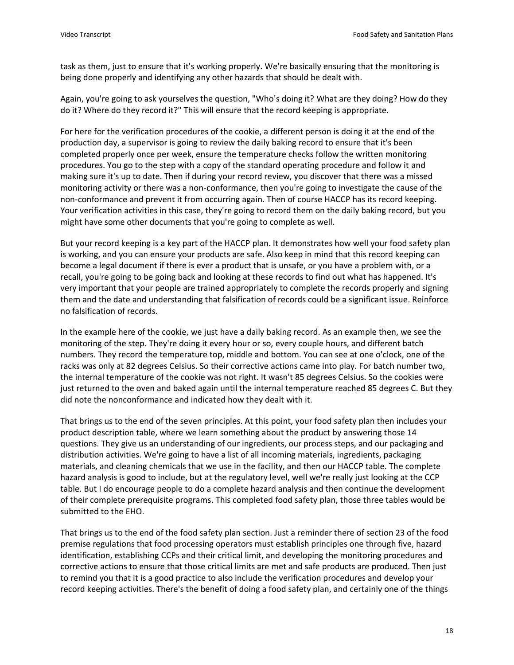task as them, just to ensure that it's working properly. We're basically ensuring that the monitoring is being done properly and identifying any other hazards that should be dealt with.

Again, you're going to ask yourselves the question, "Who's doing it? What are they doing? How do they do it? Where do they record it?" This will ensure that the record keeping is appropriate.

For here for the verification procedures of the cookie, a different person is doing it at the end of the production day, a supervisor is going to review the daily baking record to ensure that it's been completed properly once per week, ensure the temperature checks follow the written monitoring procedures. You go to the step with a copy of the standard operating procedure and follow it and making sure it's up to date. Then if during your record review, you discover that there was a missed monitoring activity or there was a non-conformance, then you're going to investigate the cause of the non-conformance and prevent it from occurring again. Then of course HACCP has its record keeping. Your verification activities in this case, they're going to record them on the daily baking record, but you might have some other documents that you're going to complete as well.

But your record keeping is a key part of the HACCP plan. It demonstrates how well your food safety plan is working, and you can ensure your products are safe. Also keep in mind that this record keeping can become a legal document if there is ever a product that is unsafe, or you have a problem with, or a recall, you're going to be going back and looking at these records to find out what has happened. It's very important that your people are trained appropriately to complete the records properly and signing them and the date and understanding that falsification of records could be a significant issue. Reinforce no falsification of records.

In the example here of the cookie, we just have a daily baking record. As an example then, we see the monitoring of the step. They're doing it every hour or so, every couple hours, and different batch numbers. They record the temperature top, middle and bottom. You can see at one o'clock, one of the racks was only at 82 degrees Celsius. So their corrective actions came into play. For batch number two, the internal temperature of the cookie was not right. It wasn't 85 degrees Celsius. So the cookies were just returned to the oven and baked again until the internal temperature reached 85 degrees C. But they did note the nonconformance and indicated how they dealt with it.

That brings us to the end of the seven principles. At this point, your food safety plan then includes your product description table, where we learn something about the product by answering those 14 questions. They give us an understanding of our ingredients, our process steps, and our packaging and distribution activities. We're going to have a list of all incoming materials, ingredients, packaging materials, and cleaning chemicals that we use in the facility, and then our HACCP table. The complete hazard analysis is good to include, but at the regulatory level, well we're really just looking at the CCP table. But I do encourage people to do a complete hazard analysis and then continue the development of their complete prerequisite programs. This completed food safety plan, those three tables would be submitted to the EHO.

That brings us to the end of the food safety plan section. Just a reminder there of section 23 of the food premise regulations that food processing operators must establish principles one through five, hazard identification, establishing CCPs and their critical limit, and developing the monitoring procedures and corrective actions to ensure that those critical limits are met and safe products are produced. Then just to remind you that it is a good practice to also include the verification procedures and develop your record keeping activities. There's the benefit of doing a food safety plan, and certainly one of the things